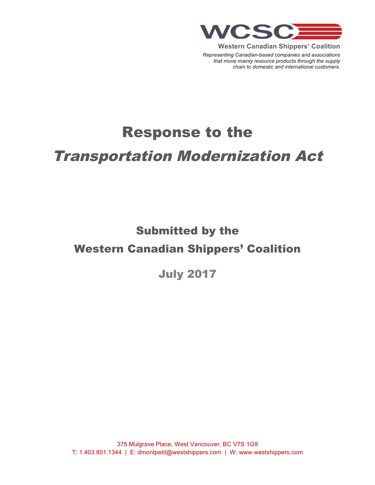

**Western Canadian Shippers' Coalition**

*Representing Canadian-based companies and associations that move mainly resource products through the supply chain to domestic and international customers.*

# Response to the

# Transportation Modernization Act

# Submitted by the Western Canadian Shippers' Coalition

July 2017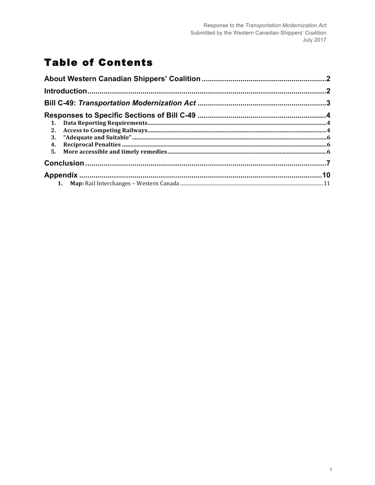# **Table of Contents**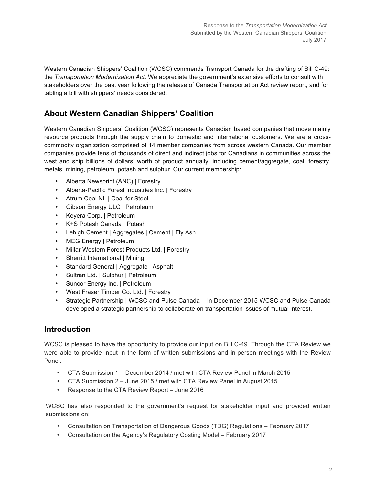Western Canadian Shippers' Coalition (WCSC) commends Transport Canada for the drafting of Bill C-49: the *Transportation Modernization Act*. We appreciate the government's extensive efforts to consult with stakeholders over the past year following the release of Canada Transportation Act review report, and for tabling a bill with shippers' needs considered.

# **About Western Canadian Shippers' Coalition**

Western Canadian Shippers' Coalition (WCSC) represents Canadian based companies that move mainly resource products through the supply chain to domestic and international customers. We are a crosscommodity organization comprised of 14 member companies from across western Canada. Our member companies provide tens of thousands of direct and indirect jobs for Canadians in communities across the west and ship billions of dollars' worth of product annually, including cement/aggregate, coal, forestry, metals, mining, petroleum, potash and sulphur. Our current membership:

- Alberta Newsprint (ANC) | Forestry
- Alberta-Pacific Forest Industries Inc. | Forestry
- Atrum Coal NL | Coal for Steel
- Gibson Energy ULC | Petroleum
- Keyera Corp. | Petroleum
- K+S Potash Canada | Potash
- Lehigh Cement | Aggregates | Cement | Fly Ash
- MEG Energy | Petroleum
- Millar Western Forest Products Ltd. | Forestry
- Sherritt International | Mining
- Standard General | Aggregate | Asphalt
- Sultran Ltd. | Sulphur | Petroleum
- Suncor Energy Inc. | Petroleum
- West Fraser Timber Co. Ltd. | Forestry
- Strategic Partnership | WCSC and Pulse Canada In December 2015 WCSC and Pulse Canada developed a strategic partnership to collaborate on transportation issues of mutual interest.

## **Introduction**

WCSC is pleased to have the opportunity to provide our input on Bill C-49. Through the CTA Review we were able to provide input in the form of written submissions and in-person meetings with the Review Panel.

- CTA Submission 1 December 2014 / met with CTA Review Panel in March 2015
- CTA Submission 2 June 2015 / met with CTA Review Panel in August 2015
- Response to the CTA Review Report June 2016

WCSC has also responded to the government's request for stakeholder input and provided written submissions on:

- Consultation on Transportation of Dangerous Goods (TDG) Regulations February 2017
- Consultation on the Agency's Regulatory Costing Model February 2017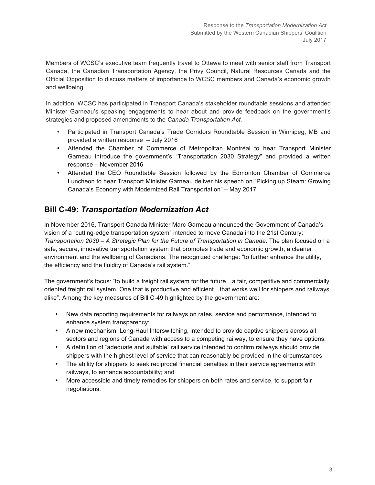Members of WCSC's executive team frequently travel to Ottawa to meet with senior staff from Transport Canada, the Canadian Transportation Agency, the Privy Council, Natural Resources Canada and the Official Opposition to discuss matters of importance to WCSC members and Canada's economic growth and wellbeing.

In addition, WCSC has participated in Transport Canada's stakeholder roundtable sessions and attended Minister Garneau's speaking engagements to hear about and provide feedback on the government's strategies and proposed amendments to the *Canada Transportation Act.*

- Participated in Transport Canada's Trade Corridors Roundtable Session in Winnipeg, MB and provided a written response – July 2016
- Attended the Chamber of Commerce of Metropolitan Montréal to hear Transport Minister Garneau introduce the government's "Transportation 2030 Strategy" and provided a written response – November 2016
- Attended the CEO Roundtable Session followed by the Edmonton Chamber of Commerce Luncheon to hear Transport Minister Garneau deliver his speech on "Picking up Steam: Growing Canada's Economy with Modernized Rail Transportation" – May 2017

# **Bill C-49:** *Transportation Modernization Act*

In November 2016, Transport Canada Minister Marc Garneau announced the Government of Canada's vision of a "cutting-edge transportation system" intended to move Canada into the 21st Century: *Transportation 2030 – A Strategic Plan for the Future of Transportation in Canada*. The plan focused on a safe, secure, innovative transportation system that promotes trade and economic growth, a cleaner environment and the wellbeing of Canadians. The recognized challenge: "to further enhance the utility, the efficiency and the fluidity of Canada's rail system."

The government's focus: "to build a freight rail system for the future…a fair, competitive and commercially oriented freight rail system. One that is productive and efficient…that works well for shippers and railways alike". Among the key measures of Bill C-49 highlighted by the government are:

- New data reporting requirements for railways on rates, service and performance, intended to enhance system transparency;
- A new mechanism, Long-Haul Interswitching, intended to provide captive shippers across all sectors and regions of Canada with access to a competing railway, to ensure they have options;
- A definition of "adequate and suitable" rail service intended to confirm railways should provide shippers with the highest level of service that can reasonably be provided in the circumstances;
- The ability for shippers to seek reciprocal financial penalties in their service agreements with railways, to enhance accountability; and
- More accessible and timely remedies for shippers on both rates and service, to support fair negotiations.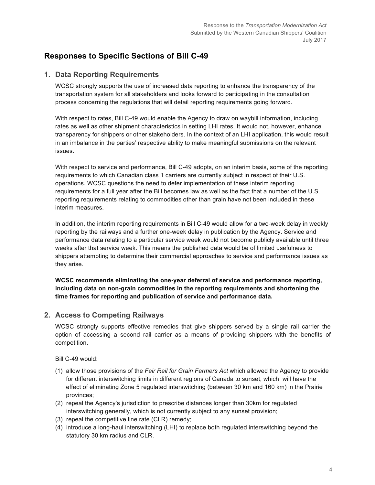# **Responses to Specific Sections of Bill C-49**

## **1. Data Reporting Requirements**

WCSC strongly supports the use of increased data reporting to enhance the transparency of the transportation system for all stakeholders and looks forward to participating in the consultation process concerning the regulations that will detail reporting requirements going forward.

With respect to rates, Bill C-49 would enable the Agency to draw on waybill information, including rates as well as other shipment characteristics in setting LHI rates. It would not, however, enhance transparency for shippers or other stakeholders. In the context of an LHI application, this would result in an imbalance in the parties' respective ability to make meaningful submissions on the relevant issues.

With respect to service and performance, Bill C-49 adopts, on an interim basis, some of the reporting requirements to which Canadian class 1 carriers are currently subject in respect of their U.S. operations. WCSC questions the need to defer implementation of these interim reporting requirements for a full year after the Bill becomes law as well as the fact that a number of the U.S. reporting requirements relating to commodities other than grain have not been included in these interim measures.

In addition, the interim reporting requirements in Bill C-49 would allow for a two-week delay in weekly reporting by the railways and a further one-week delay in publication by the Agency. Service and performance data relating to a particular service week would not become publicly available until three weeks after that service week. This means the published data would be of limited usefulness to shippers attempting to determine their commercial approaches to service and performance issues as they arise.

**WCSC recommends eliminating the one-year deferral of service and performance reporting, including data on non-grain commodities in the reporting requirements and shortening the time frames for reporting and publication of service and performance data.** 

## **2. Access to Competing Railways**

WCSC strongly supports effective remedies that give shippers served by a single rail carrier the option of accessing a second rail carrier as a means of providing shippers with the benefits of competition.

Bill C-49 would:

- (1) allow those provisions of the *Fair Rail for Grain Farmers Act* which allowed the Agency to provide for different interswitching limits in different regions of Canada to sunset, which will have the effect of eliminating Zone 5 regulated interswitching (between 30 km and 160 km) in the Prairie provinces;
- (2) repeal the Agency's jurisdiction to prescribe distances longer than 30km for regulated interswitching generally, which is not currently subject to any sunset provision;
- (3) repeal the competitive line rate (CLR) remedy;
- (4) introduce a long-haul interswitching (LHI) to replace both regulated interswitching beyond the statutory 30 km radius and CLR.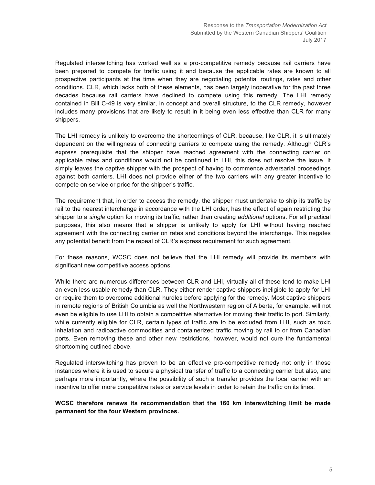Regulated interswitching has worked well as a pro-competitive remedy because rail carriers have been prepared to compete for traffic using it and because the applicable rates are known to all prospective participants at the time when they are negotiating potential routings, rates and other conditions. CLR, which lacks both of these elements, has been largely inoperative for the past three decades because rail carriers have declined to compete using this remedy. The LHI remedy contained in Bill C-49 is very similar, in concept and overall structure, to the CLR remedy, however includes many provisions that are likely to result in it being even less effective than CLR for many shippers.

The LHI remedy is unlikely to overcome the shortcomings of CLR, because, like CLR, it is ultimately dependent on the willingness of connecting carriers to compete using the remedy. Although CLR's express prerequisite that the shipper have reached agreement with the connecting carrier on applicable rates and conditions would not be continued in LHI, this does not resolve the issue. It simply leaves the captive shipper with the prospect of having to commence adversarial proceedings against both carriers. LHI does not provide either of the two carriers with any greater incentive to compete on service or price for the shipper's traffic.

The requirement that, in order to access the remedy, the shipper must undertake to ship its traffic by rail to the nearest interchange in accordance with the LHI order, has the effect of again restricting the shipper to a *single* option for moving its traffic, rather than creating *additional* options. For all practical purposes, this also means that a shipper is unlikely to apply for LHI without having reached agreement with the connecting carrier on rates and conditions beyond the interchange. This negates any potential benefit from the repeal of CLR's express requirement for such agreement.

For these reasons, WCSC does not believe that the LHI remedy will provide its members with significant new competitive access options.

While there are numerous differences between CLR and LHI, virtually all of these tend to make LHI an even less usable remedy than CLR. They either render captive shippers ineligible to apply for LHI or require them to overcome additional hurdles before applying for the remedy. Most captive shippers in remote regions of British Columbia as well the Northwestern region of Alberta, for example, will not even be eligible to use LHI to obtain a competitive alternative for moving their traffic to port. Similarly, while currently eligible for CLR, certain types of traffic are to be excluded from LHI, such as toxic inhalation and radioactive commodities and containerized traffic moving by rail to or from Canadian ports. Even removing these and other new restrictions, however, would not cure the fundamental shortcoming outlined above.

Regulated interswitching has proven to be an effective pro-competitive remedy not only in those instances where it is used to secure a physical transfer of traffic to a connecting carrier but also, and perhaps more importantly, where the possibility of such a transfer provides the local carrier with an incentive to offer more competitive rates or service levels in order to retain the traffic on its lines.

**WCSC therefore renews its recommendation that the 160 km interswitching limit be made permanent for the four Western provinces.**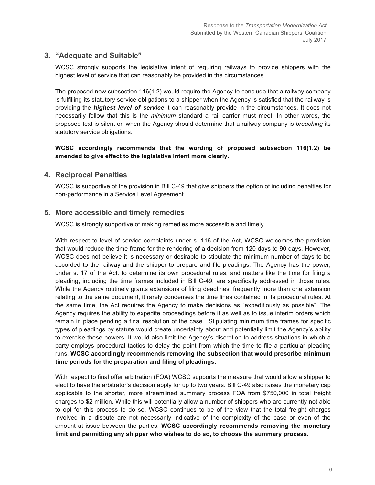### **3. "Adequate and Suitable"**

WCSC strongly supports the legislative intent of requiring railways to provide shippers with the highest level of service that can reasonably be provided in the circumstances.

The proposed new subsection 116(1.2) would require the Agency to conclude that a railway company is fulfilling its statutory service obligations to a shipper when the Agency is satisfied that the railway is providing the *highest level of service* it can reasonably provide in the circumstances. It does not necessarily follow that this is the *minimum* standard a rail carrier must meet. In other words, the proposed text is silent on when the Agency should determine that a railway company is *breaching* its statutory service obligations.

#### **WCSC accordingly recommends that the wording of proposed subsection 116(1.2) be amended to give effect to the legislative intent more clearly.**

## **4. Reciprocal Penalties**

WCSC is supportive of the provision in Bill C-49 that give shippers the option of including penalties for non-performance in a Service Level Agreement.

### **5. More accessible and timely remedies**

WCSC is strongly supportive of making remedies more accessible and timely.

With respect to level of service complaints under s. 116 of the Act, WCSC welcomes the provision that would reduce the time frame for the rendering of a decision from 120 days to 90 days. However, WCSC does not believe it is necessary or desirable to stipulate the minimum number of days to be accorded to the railway and the shipper to prepare and file pleadings. The Agency has the power, under s. 17 of the Act, to determine its own procedural rules, and matters like the time for filing a pleading, including the time frames included in Bill C-49, are specifically addressed in those rules. While the Agency routinely grants extensions of filing deadlines, frequently more than one extension relating to the same document, it rarely condenses the time lines contained in its procedural rules. At the same time, the Act requires the Agency to make decisions as "expeditiously as possible". The Agency requires the ability to expedite proceedings before it as well as to issue interim orders which remain in place pending a final resolution of the case. Stipulating minimum time frames for specific types of pleadings by statute would create uncertainty about and potentially limit the Agency's ability to exercise these powers. It would also limit the Agency's discretion to address situations in which a party employs procedural tactics to delay the point from which the time to file a particular pleading runs. **WCSC accordingly recommends removing the subsection that would prescribe minimum time periods for the preparation and filing of pleadings.**

With respect to final offer arbitration (FOA) WCSC supports the measure that would allow a shipper to elect to have the arbitrator's decision apply for up to two years. Bill C-49 also raises the monetary cap applicable to the shorter, more streamlined summary process FOA from \$750,000 in total freight charges to \$2 million. While this will potentially allow a number of shippers who are currently not able to opt for this process to do so, WCSC continues to be of the view that the total freight charges involved in a dispute are not necessarily indicative of the complexity of the case or even of the amount at issue between the parties. **WCSC accordingly recommends removing the monetary limit and permitting any shipper who wishes to do so, to choose the summary process.**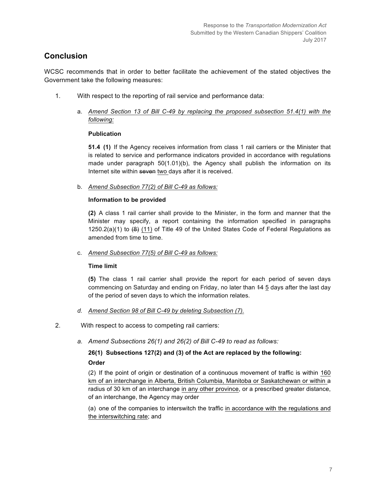## **Conclusion**

WCSC recommends that in order to better facilitate the achievement of the stated objectives the Government take the following measures:

- 1. With respect to the reporting of rail service and performance data:
	- a. *Amend Section 13 of Bill C-49 by replacing the proposed subsection 51.4(1) with the following:*

#### **Publication**

**51.4 (1)** If the Agency receives information from class 1 rail carriers or the Minister that is related to service and performance indicators provided in accordance with regulations made under paragraph 50(1.01)(b), the Agency shall publish the information on its Internet site within seven two days after it is received.

b. *Amend Subsection 77(2) of Bill C-49 as follows:*

#### **Information to be provided**

**(2)** A class 1 rail carrier shall provide to the Minister, in the form and manner that the Minister may specify, a report containing the information specified in paragraphs 1250.2(a)(1) to  $(8)$  (11) of Title 49 of the United States Code of Federal Regulations as amended from time to time.

c. *Amend Subsection 77(5) of Bill C-49 as follows:*

#### **Time limit**

**(5)** The class 1 rail carrier shall provide the report for each period of seven days commencing on Saturday and ending on Friday, no later than 14 5 days after the last day of the period of seven days to which the information relates.

- *d. Amend Section 98 of Bill C-49 by deleting Subsection (7).*
- 2. With respect to access to competing rail carriers:
	- *a. Amend Subsections 26(1) and 26(2) of Bill C-49 to read as follows:*

## **26(1) Subsections 127(2) and (3) of the Act are replaced by the following: Order**

(2) If the point of origin or destination of a continuous movement of traffic is within 160 km of an interchange in Alberta, British Columbia, Manitoba or Saskatchewan or within a radius of 30 km of an interchange in any other province, or a prescribed greater distance, of an interchange, the Agency may order

(a) one of the companies to interswitch the traffic in accordance with the regulations and the interswitching rate; and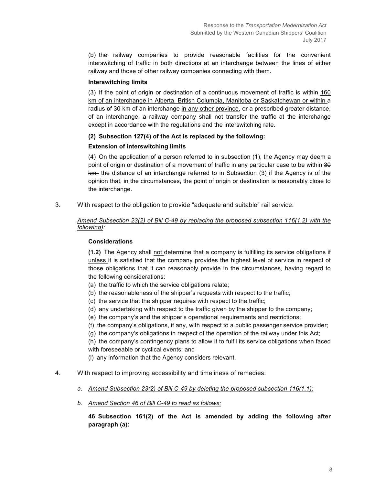(b) the railway companies to provide reasonable facilities for the convenient interswitching of traffic in both directions at an interchange between the lines of either railway and those of other railway companies connecting with them.

#### **Interswitching limits**

(3) If the point of origin or destination of a continuous movement of traffic is within 160 km of an interchange in Alberta, British Columbia, Manitoba or Saskatchewan or within a radius of 30 km of an interchange in any other province, or a prescribed greater distance, of an interchange, a railway company shall not transfer the traffic at the interchange except in accordance with the regulations and the interswitching rate.

#### **(2) Subsection 127(4) of the Act is replaced by the following:**

#### **Extension of interswitching limits**

(4) On the application of a person referred to in subsection (1), the Agency may deem a point of origin or destination of a movement of traffic in any particular case to be within 30  $km$ - the distance of an interchange referred to in Subsection (3) if the Agency is of the opinion that, in the circumstances, the point of origin or destination is reasonably close to the interchange.

3. With respect to the obligation to provide "adequate and suitable" rail service:

#### *Amend Subsection 23(2) of Bill C-49 by replacing the proposed subsection 116(1.2) with the following):*

#### **Considerations**

**(1.2)** The Agency shall not determine that a company is fulfilling its service obligations if unless it is satisfied that the company provides the highest level of service in respect of those obligations that it can reasonably provide in the circumstances, having regard to the following considerations:

- (a) the traffic to which the service obligations relate;
- (b) the reasonableness of the shipper's requests with respect to the traffic;
- (c) the service that the shipper requires with respect to the traffic;
- (d) any undertaking with respect to the traffic given by the shipper to the company;
- (e) the company's and the shipper's operational requirements and restrictions;
- (f) the company's obligations, if any, with respect to a public passenger service provider;
- (g) the company's obligations in respect of the operation of the railway under this Act;
- (h) the company's contingency plans to allow it to fulfil its service obligations when faced with foreseeable or cyclical events; and
- (i) any information that the Agency considers relevant.
- 4. With respect to improving accessibility and timeliness of remedies:
	- *a. Amend Subsection 23(2) of Bill C-49 by deleting the proposed subsection 116(1.1);*
	- *b. Amend Section 46 of Bill C-49 to read as follows;*

**46 Subsection 161(2) of the Act is amended by adding the following after paragraph (a):**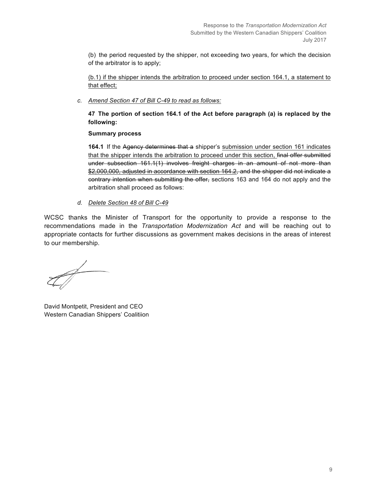(b) the period requested by the shipper, not exceeding two years, for which the decision of the arbitrator is to apply;

(b.1) if the shipper intends the arbitration to proceed under section 164.1, a statement to that effect;

*c. Amend Section 47 of Bill C-49 to read as follows:*

**47 The portion of section 164.1 of the Act before paragraph (a) is replaced by the following:**

#### **Summary process**

**164.1** If the Agency determines that a shipper's submission under section 161 indicates that the shipper intends the arbitration to proceed under this section, final offer submitted under subsection 161.1(1) involves freight charges in an amount of not more than \$2,000,000, adjusted in accordance with section 164.2, and the shipper did not indicate a contrary intention when submitting the offer, sections 163 and 164 do not apply and the arbitration shall proceed as follows:

#### *d. Delete Section 48 of Bill C-49*

WCSC thanks the Minister of Transport for the opportunity to provide a response to the recommendations made in the *Transportation Modernization Act* and will be reaching out to appropriate contacts for further discussions as government makes decisions in the areas of interest to our membership.

David Montpetit, President and CEO Western Canadian Shippers' Coalitiion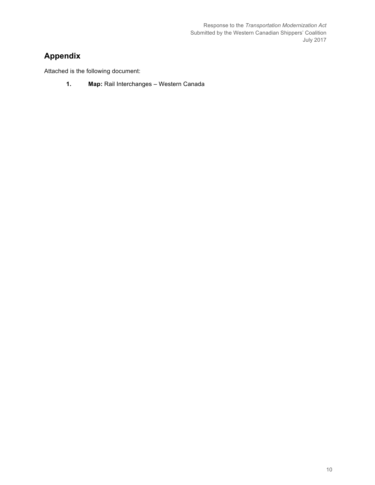Response to the *Transportation Modernization Act* Submitted by the Western Canadian Shippers' Coalition July 2017

# **Appendix**

Attached is the following document:

**1. Map:** Rail Interchanges – Western Canada